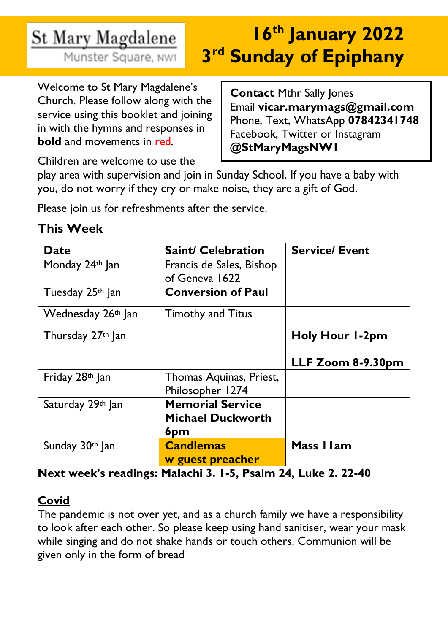# St Mary Magdalene

Munster Square, NW1

# **16th January 2022 3 rd Sunday of Epiphany**

Welcome to St Mary Magdalene's Church. Please follow along with the service using this booklet and joining in with the hymns and responses in **bold** and movements in red.

**Contact Mthr Sally Jones** Email **vicar.marymags@gmail.com** Phone, Text, WhatsApp **07842341748** Facebook, Twitter or Instagram **@StMaryMagsNW1**

Children are welcome to use the

play area with supervision and join in Sunday School. If you have a baby with you, do not worry if they cry or make noise, they are a gift of God.

Please join us for refreshments after the service.

# **This Week**

| <b>Date</b>        | <b>Saint/ Celebration</b> | <b>Service/ Event</b>  |
|--------------------|---------------------------|------------------------|
| Monday 24th Jan    | Francis de Sales, Bishop  |                        |
|                    | of Geneva 1622            |                        |
| Tuesday 25th Jan   | <b>Conversion of Paul</b> |                        |
| Wednesday 26th Jan | <b>Timothy and Titus</b>  |                        |
| Thursday 27th Jan  |                           | <b>Holy Hour 1-2pm</b> |
|                    |                           | LLF Zoom 8-9.30pm      |
| Friday 28th Jan    | Thomas Aquinas, Priest,   |                        |
|                    | Philosopher 1274          |                        |
| Saturday 29th Jan  | <b>Memorial Service</b>   |                        |
|                    | <b>Michael Duckworth</b>  |                        |
|                    | 6pm                       |                        |
| Sunday 30th Jan    | <b>Candlemas</b>          | Mass I I am            |
|                    | w guest preacher          |                        |

**Next week's readings: Malachi 3. 1-5, Psalm 24, Luke 2. 22-40**

# **Covid**

The pandemic is not over yet, and as a church family we have a responsibility to look after each other. So please keep using hand sanitiser, wear your mask while singing and do not shake hands or touch others. Communion will be given only in the form of bread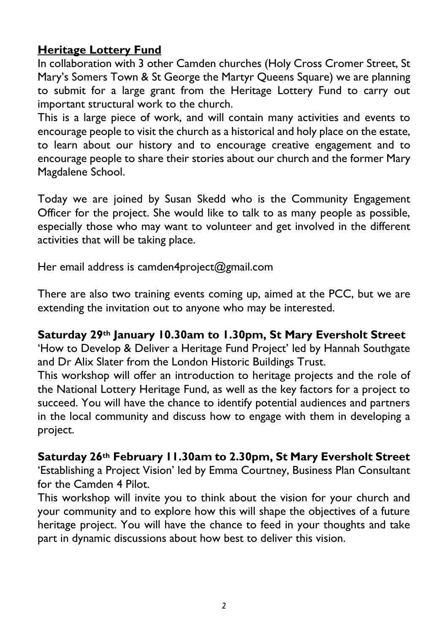# **Heritage Lottery Fund**

In collaboration with 3 other Camden churches (Holy Cross Cromer Street, St Mary's Somers Town & St George the Martyr Queens Square) we are planning to submit for a large grant from the Heritage Lottery Fund to carry out important structural work to the church.

This is a large piece of work, and will contain many activities and events to encourage people to visit the church as a historical and holy place on the estate, to learn about our history and to encourage creative engagement and to encourage people to share their stories about our church and the former Mary Magdalene School.

Today we are joined by Susan Skedd who is the Community Engagement Officer for the project. She would like to talk to as many people as possible, especially those who may want to volunteer and get involved in the different activities that will be taking place.

Her email address is camden4project@gmail.com

There are also two training events coming up, aimed at the PCC, but we are extending the invitation out to anyone who may be interested.

#### **Saturday 29th January 10.30am to 1.30pm, St Mary Eversholt Street**

'How to Develop & Deliver a Heritage Fund Project' led by Hannah Southgate and Dr Alix Slater from the London Historic Buildings Trust.

This workshop will offer an introduction to heritage projects and the role of the National Lottery Heritage Fund, as well as the key factors for a project to succeed. You will have the chance to identify potential audiences and partners in the local community and discuss how to engage with them in developing a project.

#### **Saturday 26th February 11.30am to 2.30pm, St Mary Eversholt Street**

'Establishing a Project Vision' led by Emma Courtney, Business Plan Consultant for the Camden 4 Pilot.

This workshop will invite you to think about the vision for your church and your community and to explore how this will shape the objectives of a future heritage project. You will have the chance to feed in your thoughts and take part in dynamic discussions about how best to deliver this vision.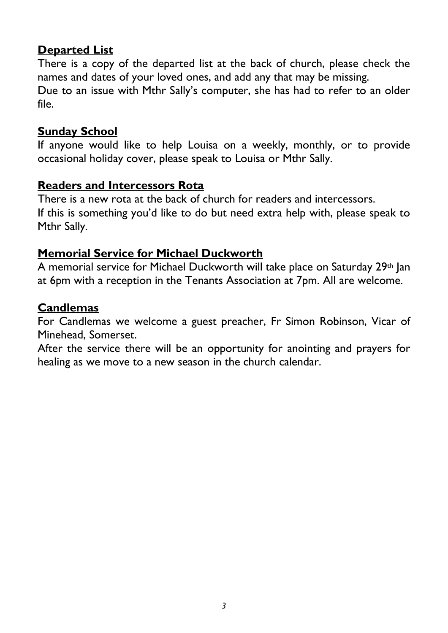### **Departed List**

There is a copy of the departed list at the back of church, please check the names and dates of your loved ones, and add any that may be missing. Due to an issue with Mthr Sally's computer, she has had to refer to an older file.

#### **Sunday School**

If anyone would like to help Louisa on a weekly, monthly, or to provide occasional holiday cover, please speak to Louisa or Mthr Sally.

#### **Readers and Intercessors Rota**

There is a new rota at the back of church for readers and intercessors. If this is something you'd like to do but need extra help with, please speak to Mthr Sally.

#### **Memorial Service for Michael Duckworth**

A memorial service for Michael Duckworth will take place on Saturday 29th Jan at 6pm with a reception in the Tenants Association at 7pm. All are welcome.

#### **Candlemas**

For Candlemas we welcome a guest preacher, Fr Simon Robinson, Vicar of Minehead, Somerset.

After the service there will be an opportunity for anointing and prayers for healing as we move to a new season in the church calendar.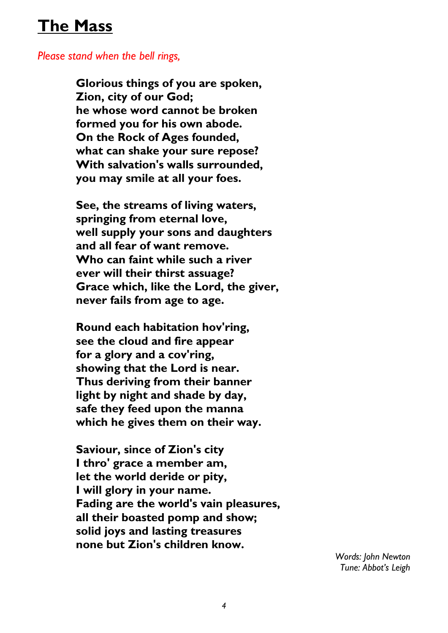# **The Mass**

#### *Please stand when the bell rings,*

**Glorious things of you are spoken, Zion, city of our God; he whose word cannot be broken formed you for his own abode. On the Rock of Ages founded, what can shake your sure repose? With salvation's walls surrounded, you may smile at all your foes.**

**See, the streams of living waters, springing from eternal love, well supply your sons and daughters and all fear of want remove. Who can faint while such a river ever will their thirst assuage? Grace which, like the Lord, the giver, never fails from age to age.**

**Round each habitation hov'ring, see the cloud and fire appear for a glory and a cov'ring, showing that the Lord is near. Thus deriving from their banner light by night and shade by day, safe they feed upon the manna which he gives them on their way.**

**Saviour, since of Zion's city I thro' grace a member am, let the world deride or pity, I will glory in your name. Fading are the world's vain pleasures, all their boasted pomp and show; solid joys and lasting treasures none but Zion's children know.**

> *Words: John Newton Tune: Abbot's Leigh*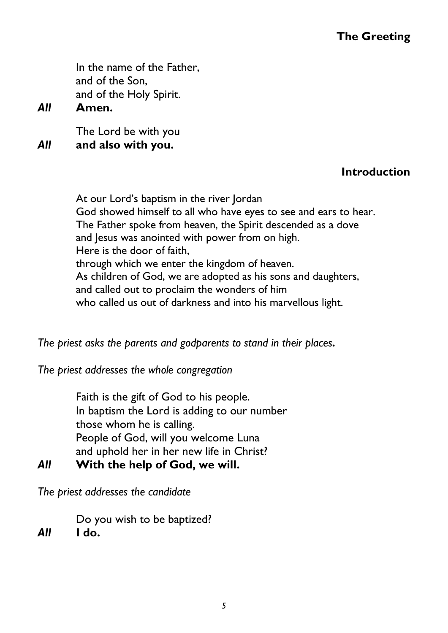## **The Greeting**

In the name of the Father, and of the Son, and of the Holy Spirit.

*All* **Amen.**

The Lord be with you *All* **and also with you.** 

#### **Introduction**

At our Lord's baptism in the river Jordan God showed himself to all who have eyes to see and ears to hear. The Father spoke from heaven, the Spirit descended as a dove and Jesus was anointed with power from on high. Here is the door of faith, through which we enter the kingdom of heaven. As children of God, we are adopted as his sons and daughters, and called out to proclaim the wonders of him who called us out of darkness and into his marvellous light.

*The priest asks the parents and godparents to stand in their places.* 

*The priest addresses the whole congregation*

Faith is the gift of God to his people. In baptism the Lord is adding to our number those whom he is calling. People of God, will you welcome Luna and uphold her in her new life in Christ?

*All* **With the help of God, we will.**

*The priest addresses the candidate* 

Do you wish to be baptized?

*All* **I do.**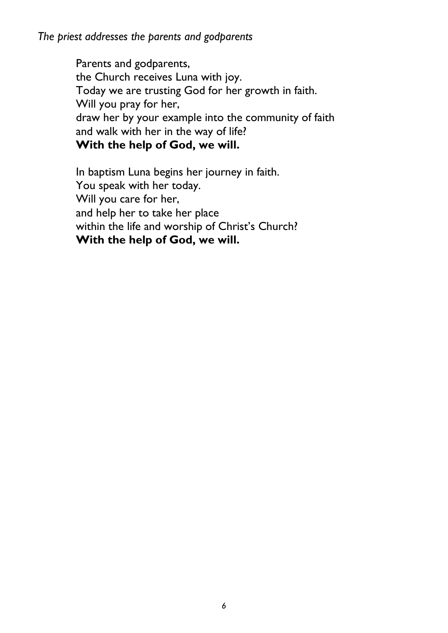*The priest addresses the parents and godparents*

Parents and godparents, the Church receives Luna with joy. Today we are trusting God for her growth in faith. Will you pray for her, draw her by your example into the community of faith and walk with her in the way of life? **With the help of God, we will.**

In baptism Luna begins her journey in faith. You speak with her today. Will you care for her, and help her to take her place within the life and worship of Christ's Church? **With the help of God, we will.**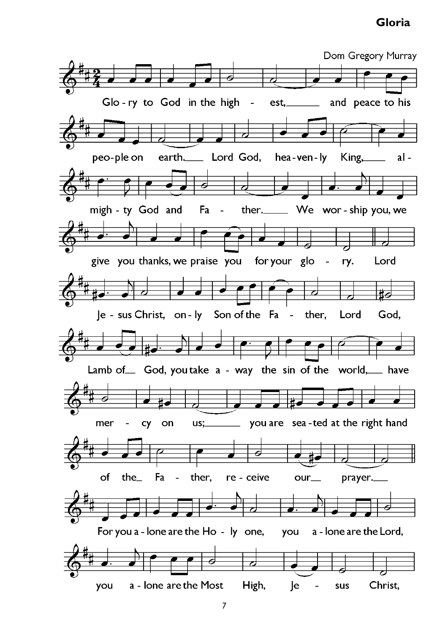#### **Gloria**

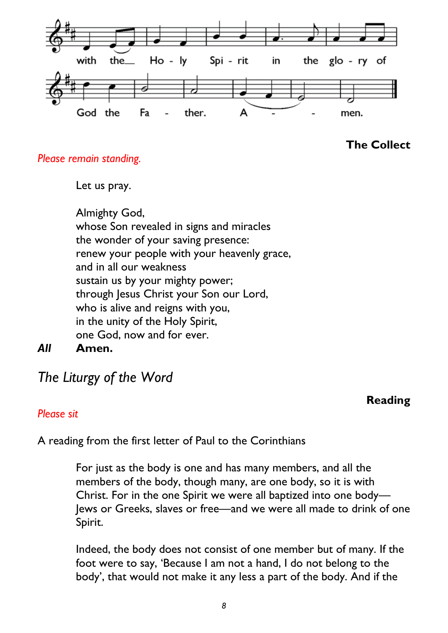

#### **The Collect**

#### *Please remain standing.*

Let us pray.

Almighty God, whose Son revealed in signs and miracles the wonder of your saving presence: renew your people with your heavenly grace, and in all our weakness sustain us by your mighty power; through Jesus Christ your Son our Lord, who is alive and reigns with you, in the unity of the Holy Spirit, one God, now and for ever.

*All* **Amen.** 

# *The Liturgy of the Word*

#### **Reading**

#### *Please sit*

A reading from the first letter of Paul to the Corinthians

For just as the body is one and has many members, and all the members of the body, though many, are one body, so it is with Christ. For in the one Spirit we were all baptized into one body— Jews or Greeks, slaves or free—and we were all made to drink of one Spirit.

Indeed, the body does not consist of one member but of many. If the foot were to say, 'Because I am not a hand, I do not belong to the body', that would not make it any less a part of the body. And if the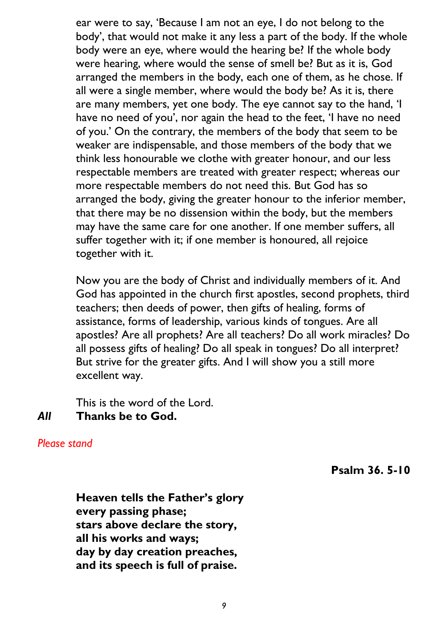ear were to say, 'Because I am not an eye, I do not belong to the body', that would not make it any less a part of the body. If the whole body were an eye, where would the hearing be? If the whole body were hearing, where would the sense of smell be? But as it is, God arranged the members in the body, each one of them, as he chose. If all were a single member, where would the body be? As it is, there are many members, yet one body. The eye cannot say to the hand, 'I have no need of you', nor again the head to the feet, 'I have no need of you.' On the contrary, the members of the body that seem to be weaker are indispensable, and those members of the body that we think less honourable we clothe with greater honour, and our less respectable members are treated with greater respect; whereas our more respectable members do not need this. But God has so arranged the body, giving the greater honour to the inferior member, that there may be no dissension within the body, but the members may have the same care for one another. If one member suffers, all suffer together with it; if one member is honoured, all rejoice together with it.

Now you are the body of Christ and individually members of it. And God has appointed in the church first apostles, second prophets, third teachers; then deeds of power, then gifts of healing, forms of assistance, forms of leadership, various kinds of tongues. Are all apostles? Are all prophets? Are all teachers? Do all work miracles? Do all possess gifts of healing? Do all speak in tongues? Do all interpret? But strive for the greater gifts. And I will show you a still more excellent way.

This is the word of the Lord.

# *All* **Thanks be to God.**

*Please stand*

**Psalm 36. 5-10**

**Heaven tells the Father's glory every passing phase; stars above declare the story, all his works and ways; day by day creation preaches, and its speech is full of praise.**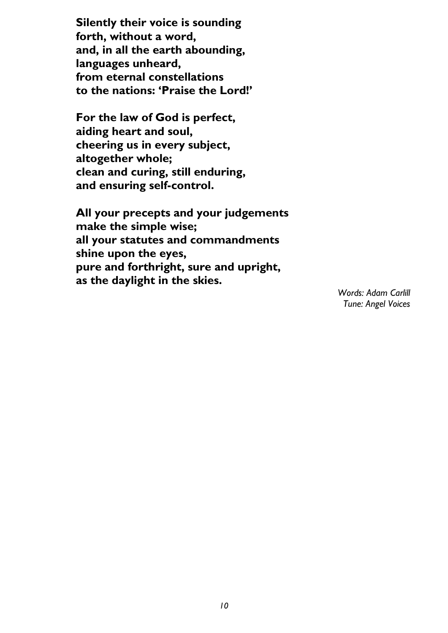**Silently their voice is sounding forth, without a word, and, in all the earth abounding, languages unheard, from eternal constellations to the nations: 'Praise the Lord!'** 

**For the law of God is perfect, aiding heart and soul, cheering us in every subject, altogether whole; clean and curing, still enduring, and ensuring self-control.** 

**All your precepts and your judgements make the simple wise; all your statutes and commandments shine upon the eyes, pure and forthright, sure and upright, as the daylight in the skies.**

*Words: Adam Carlill Tune: Angel Voices*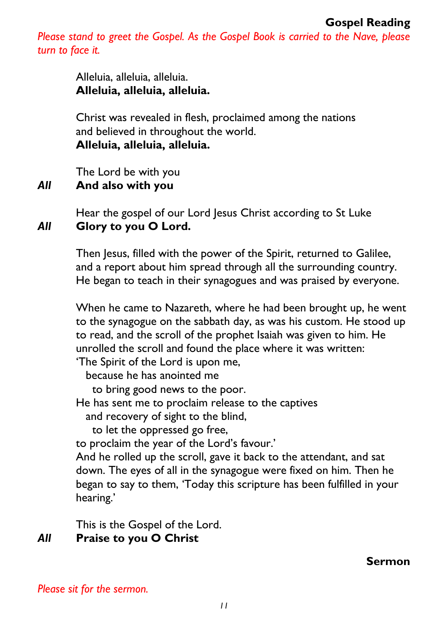*Please stand to greet the Gospel. As the Gospel Book is carried to the Nave, please turn to face it.* 

> Alleluia, alleluia, alleluia. **Alleluia, alleluia, alleluia.**

Christ was revealed in flesh, proclaimed among the nations and believed in throughout the world. **Alleluia, alleluia, alleluia.**

The Lord be with you

#### *All* **And also with you**

Hear the gospel of our Lord Jesus Christ according to St Luke *All* **Glory to you O Lord.** 

> Then Jesus, filled with the power of the Spirit, returned to Galilee, and a report about him spread through all the surrounding country. He began to teach in their synagogues and was praised by everyone.

When he came to Nazareth, where he had been brought up, he went to the synagogue on the sabbath day, as was his custom. He stood up to read, and the scroll of the prophet Isaiah was given to him. He unrolled the scroll and found the place where it was written:

'The Spirit of the Lord is upon me,

because he has anointed me

to bring good news to the poor.

He has sent me to proclaim release to the captives

and recovery of sight to the blind,

to let the oppressed go free,

to proclaim the year of the Lord's favour.'

And he rolled up the scroll, gave it back to the attendant, and sat down. The eyes of all in the synagogue were fixed on him. Then he began to say to them, 'Today this scripture has been fulfilled in your hearing.'

This is the Gospel of the Lord.

# *All* **Praise to you O Christ**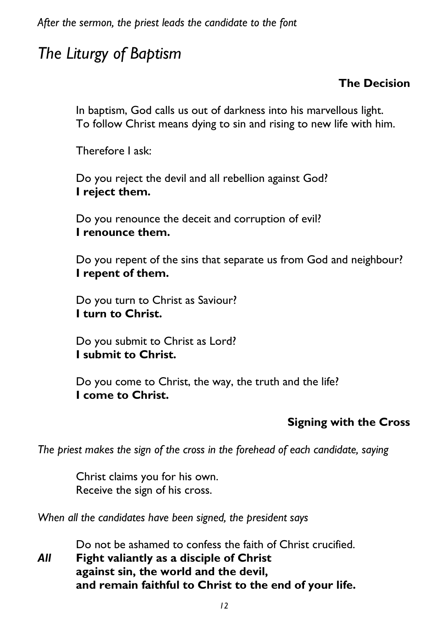*After the sermon, the priest leads the candidate to the font*

# *The Liturgy of Baptism*

# **The Decision**

In baptism, God calls us out of darkness into his marvellous light. To follow Christ means dying to sin and rising to new life with him.

Therefore I ask:

Do you reject the devil and all rebellion against God? **I reject them.**

Do you renounce the deceit and corruption of evil? **I renounce them.**

Do you repent of the sins that separate us from God and neighbour? **I repent of them.**

Do you turn to Christ as Saviour? **I turn to Christ.**

Do you submit to Christ as Lord? **I submit to Christ.**

Do you come to Christ, the way, the truth and the life? **I come to Christ.** 

#### **Signing with the Cross**

*The priest makes the sign of the cross in the forehead of each candidate, saying*

Christ claims you for his own. Receive the sign of his cross.

*When all the candidates have been signed, the president says*

Do not be ashamed to confess the faith of Christ crucified.

*All* **Fight valiantly as a disciple of Christ against sin, the world and the devil, and remain faithful to Christ to the end of your life.**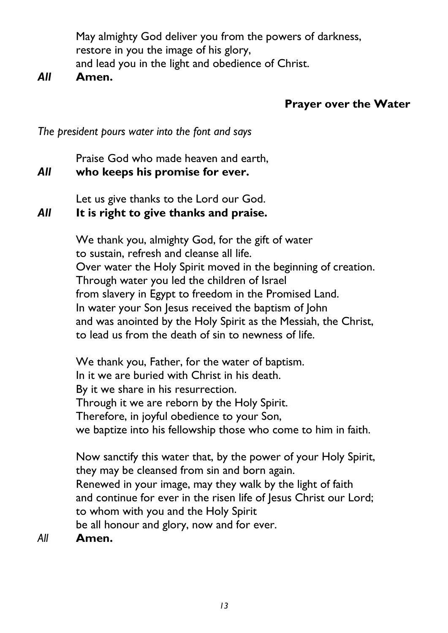May almighty God deliver you from the powers of darkness, restore in you the image of his glory, and lead you in the light and obedience of Christ.

#### *All* **Amen.**

# **Prayer over the Water**

*The president pours water into the font and says*

Praise God who made heaven and earth,

## *All* **who keeps his promise for ever.**

Let us give thanks to the Lord our God.

# *All* **It is right to give thanks and praise.**

We thank you, almighty God, for the gift of water to sustain, refresh and cleanse all life. Over water the Holy Spirit moved in the beginning of creation. Through water you led the children of Israel from slavery in Egypt to freedom in the Promised Land. In water your Son Jesus received the baptism of John and was anointed by the Holy Spirit as the Messiah, the Christ, to lead us from the death of sin to newness of life.

We thank you, Father, for the water of baptism. In it we are buried with Christ in his death. By it we share in his resurrection. Through it we are reborn by the Holy Spirit. Therefore, in joyful obedience to your Son, we baptize into his fellowship those who come to him in faith.

Now sanctify this water that, by the power of your Holy Spirit, they may be cleansed from sin and born again. Renewed in your image, may they walk by the light of faith and continue for ever in the risen life of Jesus Christ our Lord; to whom with you and the Holy Spirit be all honour and glory, now and for ever.

*All* **Amen.**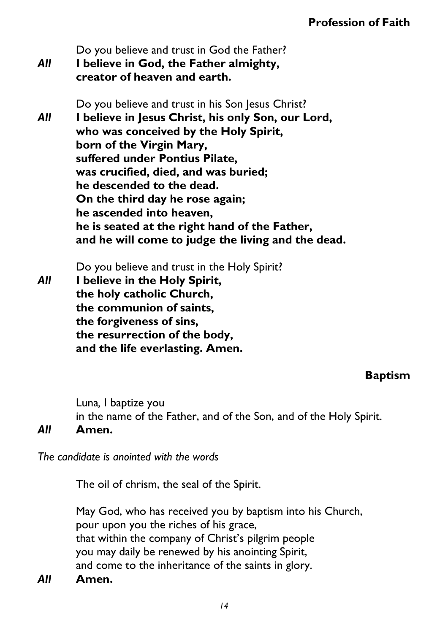- Do you believe and trust in God the Father? *All* **I believe in God, the Father almighty, creator of heaven and earth.**
- Do you believe and trust in his Son Jesus Christ? *All* **I believe in Jesus Christ, his only Son, our Lord, who was conceived by the Holy Spirit, born of the Virgin Mary, suffered under Pontius Pilate, was crucified, died, and was buried; he descended to the dead. On the third day he rose again; he ascended into heaven, he is seated at the right hand of the Father, and he will come to judge the living and the dead.**

Do you believe and trust in the Holy Spirit? *All* **I believe in the Holy Spirit, the holy catholic Church, the communion of saints, the forgiveness of sins, the resurrection of the body, and the life everlasting. Amen.**

# **Baptism**

Luna*,* I baptize you in the name of the Father, and of the Son, and of the Holy Spirit.

#### *All* **Amen.**

*The candidate is anointed with the words*

The oil of chrism, the seal of the Spirit.

May God, who has received you by baptism into his Church, pour upon you the riches of his grace, that within the company of Christ's pilgrim people you may daily be renewed by his anointing Spirit, and come to the inheritance of the saints in glory.

*All* **Amen.**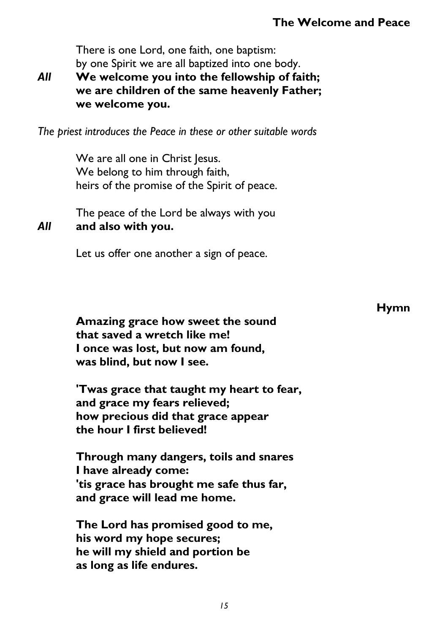There is one Lord, one faith, one baptism: by one Spirit we are all baptized into one body.

*All* **We welcome you into the fellowship of faith; we are children of the same heavenly Father; we welcome you.**

*The priest introduces the Peace in these or other suitable words*

We are all one in Christ Jesus. We belong to him through faith, heirs of the promise of the Spirit of peace.

The peace of the Lord be always with you *All* **and also with you.**

Let us offer one another a sign of peace.

**Amazing grace how sweet the sound that saved a wretch like me! I once was lost, but now am found, was blind, but now I see.**

**'Twas grace that taught my heart to fear, and grace my fears relieved; how precious did that grace appear the hour I first believed!**

**Through many dangers, toils and snares I have already come: 'tis grace has brought me safe thus far, and grace will lead me home.**

**The Lord has promised good to me, his word my hope secures; he will my shield and portion be as long as life endures.**

**Hymn**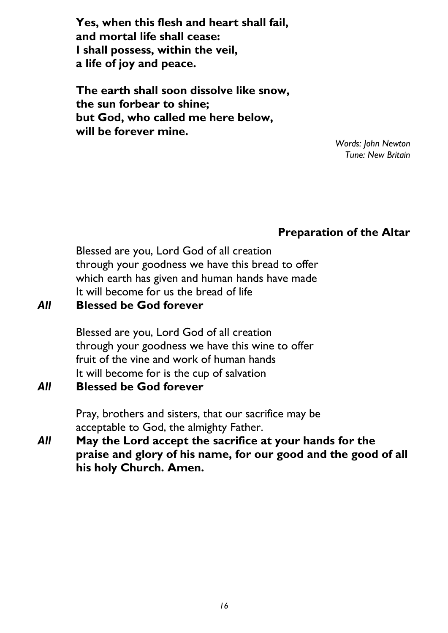**Yes, when this flesh and heart shall fail, and mortal life shall cease: I shall possess, within the veil, a life of joy and peace.**

**The earth shall soon dissolve like snow, the sun forbear to shine; but God, who called me here below, will be forever mine.**

*Words: John Newton Tune: New Britain* 

# **Preparation of the Altar**

Blessed are you, Lord God of all creation through your goodness we have this bread to offer which earth has given and human hands have made It will become for us the bread of life

#### *All* **Blessed be God forever**

Blessed are you, Lord God of all creation through your goodness we have this wine to offer fruit of the vine and work of human hands It will become for is the cup of salvation

*All* **Blessed be God forever**

Pray, brothers and sisters, that our sacrifice may be acceptable to God, the almighty Father.

*All* **May the Lord accept the sacrifice at your hands for the praise and glory of his name, for our good and the good of all his holy Church. Amen.**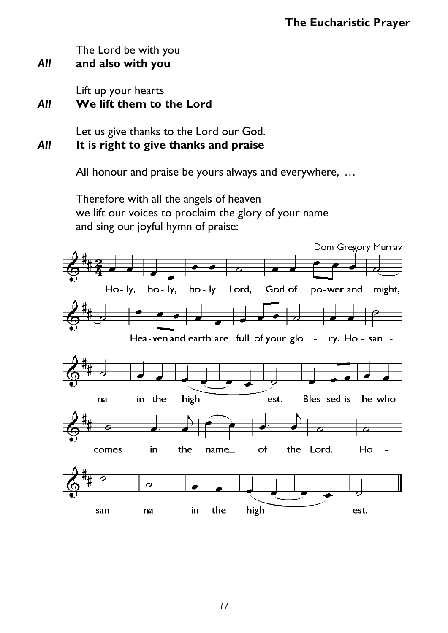The Lord be with you

*All* **and also with you**

Lift up your hearts

# *All* **We lift them to the Lord**

Let us give thanks to the Lord our God. *All* **It is right to give thanks and praise**

All honour and praise be yours always and everywhere, …

Therefore with all the angels of heaven we lift our voices to proclaim the glory of your name and sing our joyful hymn of praise:

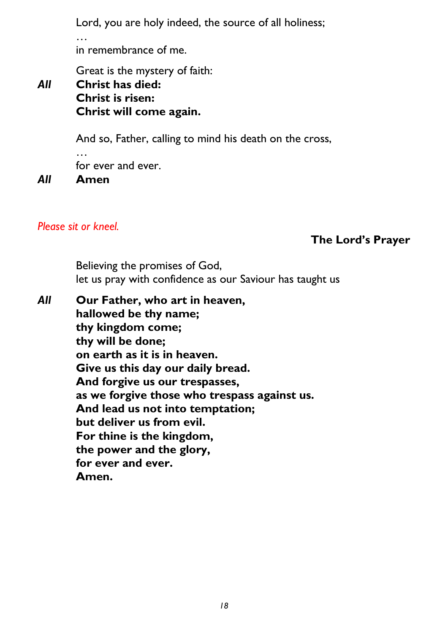Lord, you are holy indeed, the source of all holiness;

…

in remembrance of me.

Great is the mystery of faith:

# *All* **Christ has died: Christ is risen: Christ will come again.**

And so, Father, calling to mind his death on the cross,

… for ever and ever.

*All* **Amen**

#### *Please sit or kneel.*

## **The Lord's Prayer**

Believing the promises of God, let us pray with confidence as our Saviour has taught us

*All* **Our Father, who art in heaven, hallowed be thy name; thy kingdom come; thy will be done; on earth as it is in heaven. Give us this day our daily bread. And forgive us our trespasses, as we forgive those who trespass against us. And lead us not into temptation; but deliver us from evil. For thine is the kingdom, the power and the glory, for ever and ever. Amen.**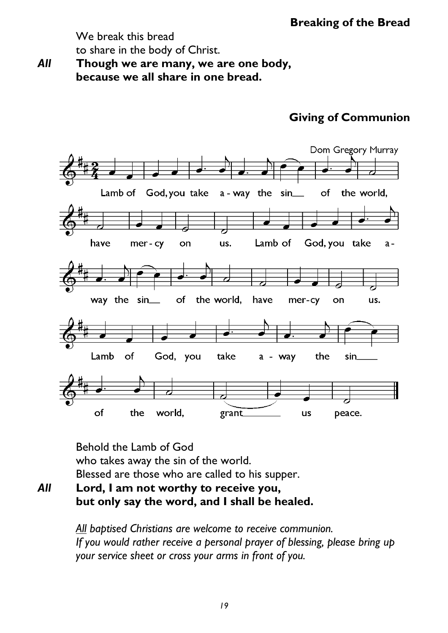We break this bread to share in the body of Christ.

*All* **Though we are many, we are one body, because we all share in one bread.**

# **Giving of Communion**



Behold the Lamb of God who takes away the sin of the world. Blessed are those who are called to his supper.

*All* **Lord, I am not worthy to receive you, but only say the word, and I shall be healed.** 

> *All baptised Christians are welcome to receive communion. If you would rather receive a personal prayer of blessing, please bring up your service sheet or cross your arms in front of you.*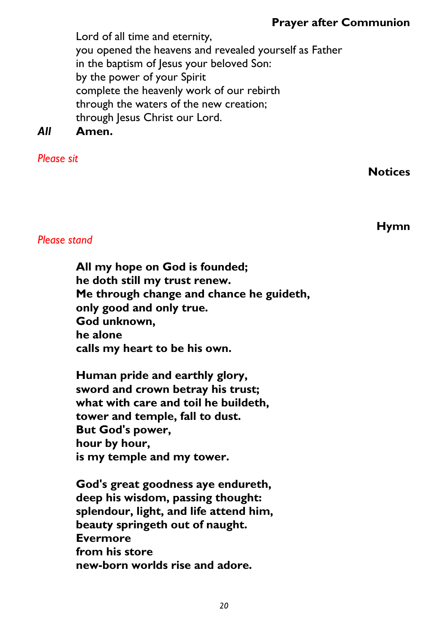# **Prayer after Communion**

Lord of all time and eternity, you opened the heavens and revealed yourself as Father in the baptism of Jesus your beloved Son: by the power of your Spirit complete the heavenly work of our rebirth through the waters of the new creation; through Jesus Christ our Lord.

# *All* **Amen.**

#### *Please sit*

**Notices** 

**Hymn**

#### *Please stand*

**All my hope on God is founded; he doth still my trust renew. Me through change and chance he guideth, only good and only true. God unknown, he alone calls my heart to be his own.**

**Human pride and earthly glory, sword and crown betray his trust; what with care and toil he buildeth, tower and temple, fall to dust. But God's power, hour by hour, is my temple and my tower.**

**God's great goodness aye endureth, deep his wisdom, passing thought: splendour, light, and life attend him, beauty springeth out of naught. Evermore from his store new-born worlds rise and adore.**

*20*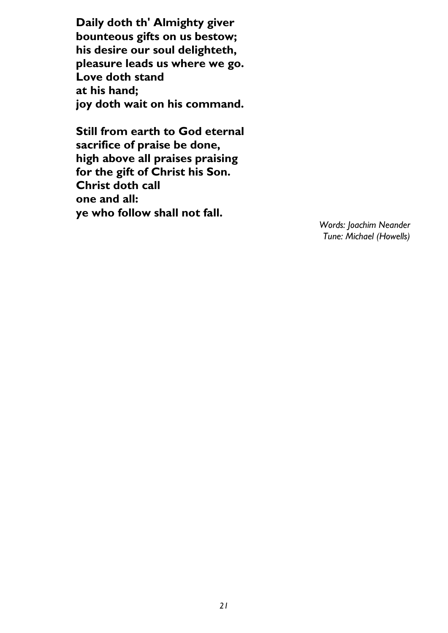**Daily doth th' Almighty giver bounteous gifts on us bestow; his desire our soul delighteth, pleasure leads us where we go. Love doth stand at his hand; joy doth wait on his command.**

**Still from earth to God eternal sacrifice of praise be done, high above all praises praising for the gift of Christ his Son. Christ doth call one and all: ye who follow shall not fall.**

> *Words: Joachim Neander Tune: Michael (Howells)*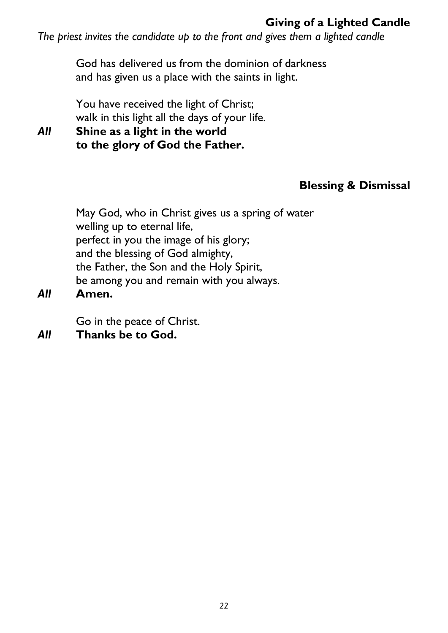# **Giving of a Lighted Candle**

*The priest invites the candidate up to the front and gives them a lighted candle* 

God has delivered us from the dominion of darkness and has given us a place with the saints in light.

You have received the light of Christ; walk in this light all the days of your life.

*All* **Shine as a light in the world to the glory of God the Father.**

# **Blessing & Dismissal**

May God, who in Christ gives us a spring of water welling up to eternal life, perfect in you the image of his glory; and the blessing of God almighty, the Father, the Son and the Holy Spirit, be among you and remain with you always.

*All* **Amen.** 

Go in the peace of Christ.

*All* **Thanks be to God.**